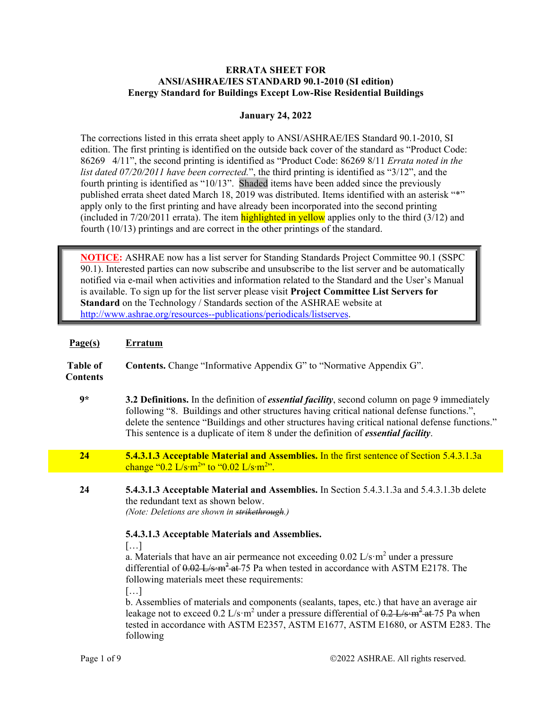## **ERRATA SHEET FOR ANSI/ASHRAE/IES STANDARD 90.1-2010 (SI edition) Energy Standard for Buildings Except Low-Rise Residential Buildings**

## **January 24, 2022**

The corrections listed in this errata sheet apply to ANSI/ASHRAE/IES Standard 90.1-2010, SI edition. The first printing is identified on the outside back cover of the standard as "Product Code: 86269 4/11", the second printing is identified as "Product Code: 86269 8/11 *Errata noted in the list dated 07/20/2011 have been corrected.*", the third printing is identified as "3/12", and the fourth printing is identified as "10/13". Shaded items have been added since the previously published errata sheet dated March 18, 2019 was distributed. Items identified with an asterisk "\*" apply only to the first printing and have already been incorporated into the second printing (included in  $7/20/2011$  errata). The item **highlighted in yellow** applies only to the third  $(3/12)$  and fourth (10/13) printings and are correct in the other printings of the standard.

**NOTICE:** ASHRAE now has a list server for Standing Standards Project Committee 90.1 (SSPC 90.1). Interested parties can now subscribe and unsubscribe to the list server and be automatically notified via e-mail when activities and information related to the Standard and the User's Manual is available. To sign up for the list server please visit **Project Committee List Servers for Standard** on the Technology / Standards section of the ASHRAE website at http://www.ashrae.org/resources--publications/periodicals/listserves.

| Page(s)                            | <b>Erratum</b>                                                                                                                                                                                                                                                                                                                                                                                                                                                                                                                                                                                                                                                                                                                                                                                                                |
|------------------------------------|-------------------------------------------------------------------------------------------------------------------------------------------------------------------------------------------------------------------------------------------------------------------------------------------------------------------------------------------------------------------------------------------------------------------------------------------------------------------------------------------------------------------------------------------------------------------------------------------------------------------------------------------------------------------------------------------------------------------------------------------------------------------------------------------------------------------------------|
| <b>Table of</b><br><b>Contents</b> | Contents. Change "Informative Appendix G" to "Normative Appendix G".                                                                                                                                                                                                                                                                                                                                                                                                                                                                                                                                                                                                                                                                                                                                                          |
| $9*$                               | 3.2 Definitions. In the definition of <i>essential facility</i> , second column on page 9 immediately<br>following "8. Buildings and other structures having critical national defense functions.",<br>delete the sentence "Buildings and other structures having critical national defense functions."<br>This sentence is a duplicate of item 8 under the definition of <i>essential facility</i> .                                                                                                                                                                                                                                                                                                                                                                                                                         |
| 24                                 | 5.4.3.1.3 Acceptable Material and Assemblies. In the first sentence of Section 5.4.3.1.3a<br>change " $0.2$ L/s·m <sup>2</sup> " to " $0.02$ L/s·m <sup>2</sup> ".                                                                                                                                                                                                                                                                                                                                                                                                                                                                                                                                                                                                                                                            |
| 24                                 | 5.4.3.1.3 Acceptable Material and Assemblies. In Section 5.4.3.1.3a and 5.4.3.1.3b delete<br>the redundant text as shown below.<br>(Note: Deletions are shown in strikethrough.)<br>5.4.3.1.3 Acceptable Materials and Assemblies.<br>[]<br>a. Materials that have an air permeance not exceeding $0.02$ L/s·m <sup>2</sup> under a pressure<br>differential of $0.02$ L/s·m <sup>2</sup> at 75 Pa when tested in accordance with ASTM E2178. The<br>following materials meet these requirements:<br>[]<br>b. Assemblies of materials and components (sealants, tapes, etc.) that have an average air<br>leakage not to exceed 0.2 L/s·m <sup>2</sup> under a pressure differential of $0.2$ L/s·m <sup>2</sup> at 75 Pa when<br>tested in accordance with ASTM E2357, ASTM E1677, ASTM E1680, or ASTM E283. The<br>following |
|                                    |                                                                                                                                                                                                                                                                                                                                                                                                                                                                                                                                                                                                                                                                                                                                                                                                                               |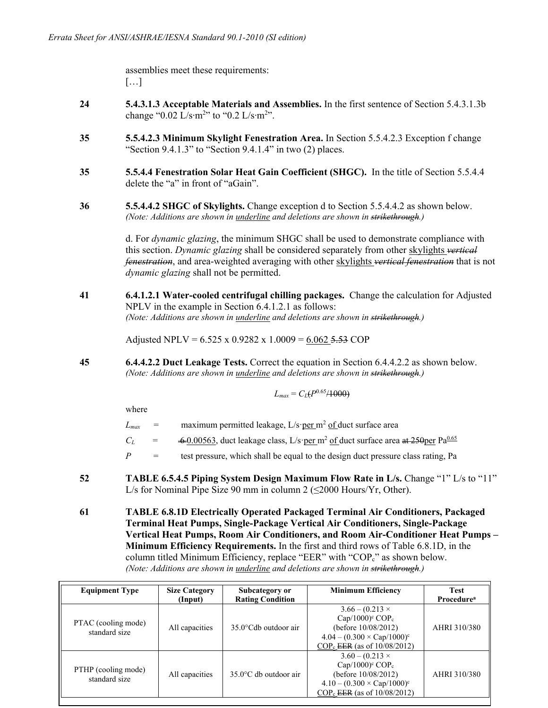assemblies meet these requirements: […]

- **24 5.4.3.1.3 Acceptable Materials and Assemblies.** In the first sentence of Section 5.4.3.1.3b change "0.02 L/s⋅m<sup>2</sup>" to "0.2 L/s⋅m<sup>2</sup>".
- **35 5.5.4.2.3 Minimum Skylight Fenestration Area.** In Section 5.5.4.2.3 Exception f change "Section  $9.4.1.3$ " to "Section  $9.4.1.4$ " in two  $(2)$  places.
- **35 5.5.4.4 Fenestration Solar Heat Gain Coefficient (SHGC).** In the title of Section 5.5.4.4 delete the "a" in front of "aGain".
- **36 5.5.4.4.2 SHGC of Skylights.** Change exception d to Section 5.5.4.4.2 as shown below. *(Note: Additions are shown in underline and deletions are shown in strikethrough.)*

d. For *dynamic glazing*, the minimum SHGC shall be used to demonstrate compliance with this section. *Dynamic glazing* shall be considered separately from other skylights *vertical fenestration*, and area-weighted averaging with other skylights *vertical fenestration* that is not *dynamic glazing* shall not be permitted.

**41 6.4.1.2.1 Water-cooled centrifugal chilling packages.** Change the calculation for Adjusted NPLV in the example in Section 6.4.1.2.1 as follows: *(Note: Additions are shown in underline and deletions are shown in strikethrough.)*

Adjusted NPLV =  $6.525 \times 0.9282 \times 1.0009 = 6.062$  5.53 COP

**45 6.4.4.2.2 Duct Leakage Tests.** Correct the equation in Section 6.4.4.2.2 as shown below. *(Note: Additions are shown in underline and deletions are shown in strikethrough.)* 

$$
L_{max} = C_L(P^{0.65}/1000)
$$

where

| $L_{max}$ | $=$ | maximum permitted leakage, $L/s$ per m <sup>2</sup> of duct surface area                                       |
|-----------|-----|----------------------------------------------------------------------------------------------------------------|
| $C_L$     | $=$ | $\div 0.00563$ , duct leakage class, L/s·per m <sup>2</sup> of duct surface area at 250 per Pa <sup>0.65</sup> |
| P         | $=$ | test pressure, which shall be equal to the design duct pressure class rating, Pa                               |
|           |     |                                                                                                                |

**52 TABLE 6.5.4.5 Piping System Design Maximum Flow Rate in L/s.** Change "1" L/s to "11" L/s for Nominal Pipe Size 90 mm in column 2 ( $\leq$ 2000 Hours/Yr, Other).

**61 TABLE 6.8.1D Electrically Operated Packaged Terminal Air Conditioners, Packaged Terminal Heat Pumps, Single-Package Vertical Air Conditioners, Single-Package Vertical Heat Pumps, Room Air Conditioners, and Room Air-Conditioner Heat Pumps – Minimum Efficiency Requirements.** In the first and third rows of Table 6.8.1D, in the column titled Minimum Efficiency, replace "EER" with "COP<sub>c</sub>" as shown below. *(Note: Additions are shown in underline and deletions are shown in strikethrough.)*

| <b>Equipment Type</b>                | <b>Size Category</b> | Subcategory or                  | <b>Minimum Efficiency</b>             | <b>Test</b>            |
|--------------------------------------|----------------------|---------------------------------|---------------------------------------|------------------------|
|                                      | (Input)              | <b>Rating Condition</b>         |                                       | Procedure <sup>a</sup> |
|                                      |                      |                                 | $3.66 - (0.213 \times$                |                        |
| PTAC (cooling mode)                  |                      |                                 | Cap/1000) $\rm ^{c}$ COP <sub>c</sub> |                        |
| standard size                        | All capacities       | $35.0^{\circ}$ Cdb outdoor air  | (before 10/08/2012)                   | AHRI 310/380           |
|                                      |                      |                                 | $4.04 - (0.300 \times Cap/1000)^c$    |                        |
|                                      |                      |                                 | $COP_c$ EER (as of $10/08/2012$ )     |                        |
|                                      |                      |                                 | $3.60 - (0.213 \times$                |                        |
|                                      |                      |                                 | Cap/1000) $\rm ^{c}$ COP <sub>c</sub> |                        |
| PTHP (cooling mode)<br>standard size | All capacities       | $35.0^{\circ}$ C db outdoor air | (before 10/08/2012)                   | AHRI 310/380           |
|                                      |                      |                                 | $4.10 - (0.300 \times Cap/1000)^c$    |                        |
|                                      |                      |                                 | $COP_c$ EER (as of $10/08/2012$ )     |                        |
|                                      |                      |                                 |                                       |                        |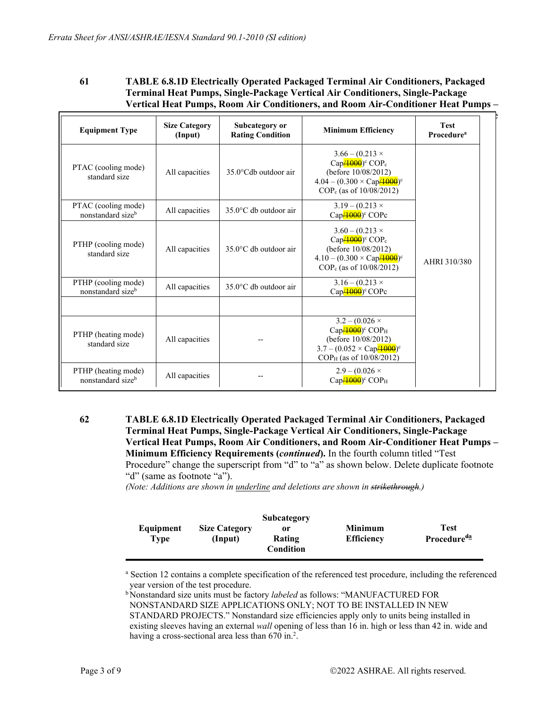| 61 | <b>TABLE 6.8.1D Electrically Operated Packaged Terminal Air Conditioners, Packaged</b> |
|----|----------------------------------------------------------------------------------------|
|    | <b>Terminal Heat Pumps, Single-Package Vertical Air Conditioners, Single-Package</b>   |
|    | Vertical Heat Pumps, Room Air Conditioners, and Room Air-Conditioner Heat Pumps -      |

| <b>Equipment Type</b>                                | <b>Size Category</b><br>(Input) | Subcategory or<br><b>Rating Condition</b> | <b>Minimum Efficiency</b>                                                                                                                                                             | <b>Test</b><br><b>Procedure</b> <sup>a</sup> |
|------------------------------------------------------|---------------------------------|-------------------------------------------|---------------------------------------------------------------------------------------------------------------------------------------------------------------------------------------|----------------------------------------------|
| PTAC (cooling mode)<br>standard size                 | All capacities                  | 35.0°Cdb outdoor air                      | $3.66 - (0.213 \times$<br>Cap $\frac{(1000)^c}{c}$ COP <sub>c</sub><br>(before 10/08/2012)<br>$4.04 - (0.300 \times \text{Cap} / 4000)$ <sup>c</sup><br>$COP_c$ (as of $10/08/2012$ ) |                                              |
| PTAC (cooling mode)<br>nonstandard size <sup>b</sup> | All capacities                  | $35.0^{\circ}$ C db outdoor air           | $3.19 - (0.213 \times$<br>$Cap/4000$ <sup>o</sup> COPc                                                                                                                                |                                              |
| PTHP (cooling mode)<br>standard size                 | All capacities                  | $35.0^{\circ}$ C db outdoor air           | $3.60 - (0.213 \times$<br>$Cap/4000$ <sup>c</sup> COP <sub>c</sub><br>(before 10/08/2012)<br>$4.10 - (0.300 \times \text{Cap} / 4000)$ <sup>c</sup><br>$COP_c$ (as of $10/08/2012$ )  | AHRI 310/380                                 |
| PTHP (cooling mode)<br>nonstandard sizeb             | All capacities                  | $35.0^{\circ}$ C db outdoor air           | $3.16 - (0.213 \times$<br>$\text{Cap}$ <del>/1000</del> ) <sup>c</sup> COPc                                                                                                           |                                              |
|                                                      |                                 |                                           |                                                                                                                                                                                       |                                              |
| PTHP (heating mode)<br>standard size                 | All capacities                  |                                           | $3.2 - (0.026 \times$<br>$Cap/4000$ <sup>c</sup> COP <sub>H</sub><br>(before 10/08/2012)<br>$3.7 - (0.052 \times \text{Cap}4000)^c$<br>COP <sub>H</sub> (as of 10/08/2012)            |                                              |
| PTHP (heating mode)<br>nonstandard sizeb             | All capacities                  |                                           | $2.9 - (0.026 \times$<br>$Cap/4000$ <sup>o</sup> COP <sub>H</sub>                                                                                                                     |                                              |

**62 TABLE 6.8.1D Electrically Operated Packaged Terminal Air Conditioners, Packaged Terminal Heat Pumps, Single-Package Vertical Air Conditioners, Single-Package Vertical Heat Pumps, Room Air Conditioners, and Room Air-Conditioner Heat Pumps – Minimum Efficiency Requirements (***continued***).** In the fourth column titled "Test Procedure" change the superscript from "d" to "a" as shown below. Delete duplicate footnote "d" (same as footnote "a").

*(Note: Additions are shown in underline and deletions are shown in strikethrough.)*

|           |                      | Subcategory |                |                         |
|-----------|----------------------|-------------|----------------|-------------------------|
| Equipment | <b>Size Category</b> | or          | <b>Minimum</b> | Test                    |
| Type      | (Input)              | Rating      | Efficiency     | Procedure <sup>da</sup> |
|           |                      | Condition   |                |                         |

a Section 12 contains a complete specification of the referenced test procedure, including the referenced year version of the test procedure.

b Nonstandard size units must be factory *labeled* as follows: "MANUFACTURED FOR NONSTANDARD SIZE APPLICATIONS ONLY; NOT TO BE INSTALLED IN NEW STANDARD PROJECTS." Nonstandard size efficiencies apply only to units being installed in existing sleeves having an external *wall* opening of less than 16 in. high or less than 42 in. wide and having a cross-sectional area less than 670 in.<sup>2</sup>.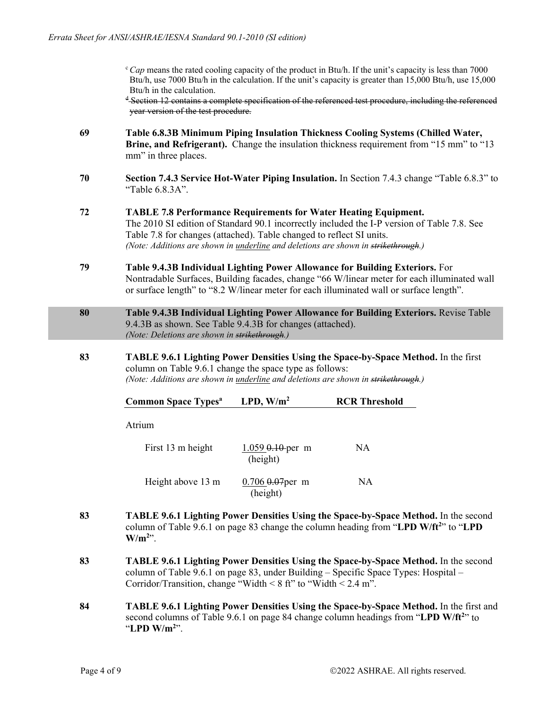$c$ *Cap* means the rated cooling capacity of the product in Btu/h. If the unit's capacity is less than 7000 Btu/h, use 7000 Btu/h in the calculation. If the unit's capacity is greater than 15,000 Btu/h, use 15,000 Btu/h in the calculation.

<sup>d</sup> Section 12 contains a complete specification of the referenced test procedure, including the referenced year version of the test procedure.

- **69 Table 6.8.3B Minimum Piping Insulation Thickness Cooling Systems (Chilled Water, Brine, and Refrigerant).** Change the insulation thickness requirement from "15 mm" to "13 mm" in three places.
- **70 Section 7.4.3 Service Hot-Water Piping Insulation.** In Section 7.4.3 change "Table 6.8.3" to "Table 6.8.3A".
- **72 TABLE 7.8 Performance Requirements for Water Heating Equipment.**  The 2010 SI edition of Standard 90.1 incorrectly included the I-P version of Table 7.8. See Table 7.8 for changes (attached). Table changed to reflect SI units. *(Note: Additions are shown in underline and deletions are shown in strikethrough.)*
- **79 Table 9.4.3B Individual Lighting Power Allowance for Building Exteriors.** For Nontradable Surfaces, Building facades, change "66 W/linear meter for each illuminated wall or surface length" to "8.2 W/linear meter for each illuminated wall or surface length".
- **80 Table 9.4.3B Individual Lighting Power Allowance for Building Exteriors.** Revise Table 9.4.3B as shown. See Table 9.4.3B for changes (attached). *(Note: Deletions are shown in strikethrough.)*
- **83 TABLE 9.6.1 Lighting Power Densities Using the Space-by-Space Method.** In the first column on Table 9.6.1 change the space type as follows: *(Note: Additions are shown in underline and deletions are shown in strikethrough.)*

Atrium

First 13 m height 1.059 0.10 per m NA (height) Height above 13 m 0.706 0.07 per m NA (height)

- **83 TABLE 9.6.1 Lighting Power Densities Using the Space-by-Space Method.** In the second column of Table 9.6.1 on page 83 change the column heading from "LPD W/ft<sup>2</sup>" to "LPD  $W/m^{2}$ <sup>"</sup>.
- **83 TABLE 9.6.1 Lighting Power Densities Using the Space-by-Space Method.** In the second column of Table 9.6.1 on page 83, under Building – Specific Space Types: Hospital – Corridor/Transition, change "Width  $\leq 8$  ft" to "Width  $\leq 2.4$  m".
- **84 TABLE 9.6.1 Lighting Power Densities Using the Space-by-Space Method.** In the first and second columns of Table 9.6.1 on page 84 change column headings from "LPD W/ft<sup>2</sup>" to "**LPD W/m2** ".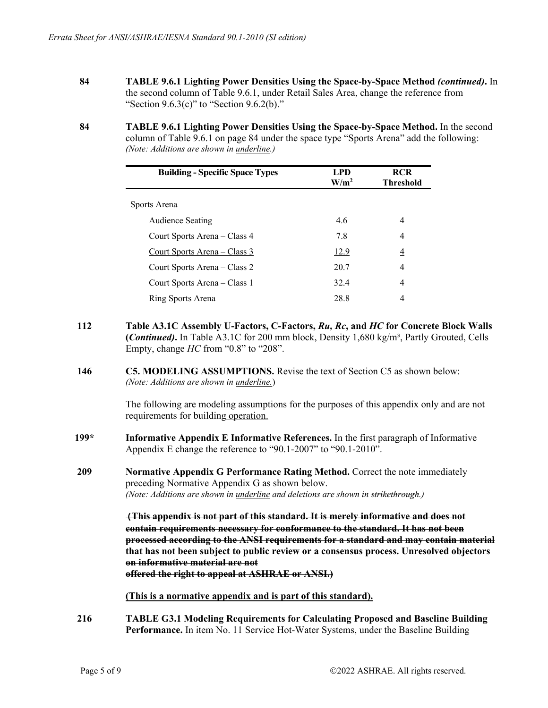- **84 TABLE 9.6.1 Lighting Power Densities Using the Space-by-Space Method** *(continued)***.** In the second column of Table 9.6.1, under Retail Sales Area, change the reference from "Section  $9.6.3(c)$ " to "Section  $9.6.2(b)$ ."
- **84 TABLE 9.6.1 Lighting Power Densities Using the Space-by-Space Method.** In the second column of Table 9.6.1 on page 84 under the space type "Sports Arena" add the following: *(Note: Additions are shown in underline.)*

| <b>Building - Specific Space Types</b> | <b>LPD</b><br>W/m <sup>2</sup> | <b>RCR</b><br><b>Threshold</b> |
|----------------------------------------|--------------------------------|--------------------------------|
| Sports Arena                           |                                |                                |
| <b>Audience Seating</b>                | 4.6                            | 4                              |
| Court Sports Arena – Class 4           | 7.8                            | 4                              |
| Court Sports Arena – Class 3           | <u>12.9</u>                    | $\overline{4}$                 |
| Court Sports Arena – Class 2           | 20.7                           | 4                              |
| Court Sports Arena – Class 1           | 32.4                           | 4                              |
| Ring Sports Arena                      | 28.8                           | 4                              |

- **112 Table A3.1C Assembly U-Factors, C-Factors,** *Ru, Rc***, and** *HC* **for Concrete Block Walls (***Continued)***.** In Table A3.1C for 200 mm block, Density 1,680 kg/m³, Partly Grouted, Cells Empty, change *HC* from "0.8" to "208".
- **146 C5. MODELING ASSUMPTIONS.** Revise the text of Section C5 as shown below: *(Note: Additions are shown in underline.*)

The following are modeling assumptions for the purposes of this appendix only and are not requirements for building operation.

- **199\* Informative Appendix E Informative References.** In the first paragraph of Informative Appendix E change the reference to "90.1-2007" to "90.1-2010".
- **209 Normative Appendix G Performance Rating Method.** Correct the note immediately preceding Normative Appendix G as shown below. *(Note: Additions are shown in underline and deletions are shown in strikethrough.)*

**(This appendix is not part of this standard. It is merely informative and does not contain requirements necessary for conformance to the standard. It has not been processed according to the ANSI requirements for a standard and may contain material that has not been subject to public review or a consensus process. Unresolved objectors on informative material are not offered the right to appeal at ASHRAE or ANSI.)** 

**(This is a normative appendix and is part of this standard).**

**216 TABLE G3.1 Modeling Requirements for Calculating Proposed and Baseline Building Performance.** In item No. 11 Service Hot-Water Systems, under the Baseline Building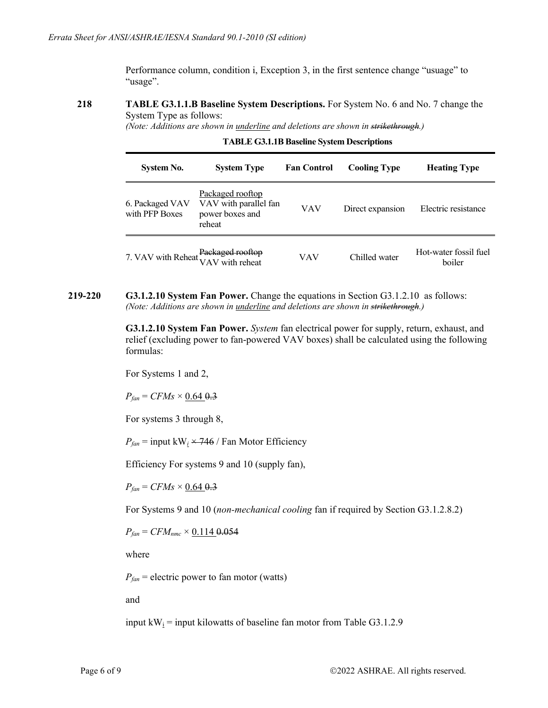Performance column, condition i, Exception 3, in the first sentence change "usuage" to "usage".

## **218 TABLE G3.1.1.B Baseline System Descriptions.** For System No. 6 and No. 7 change the System Type as follows:

*(Note: Additions are shown in underline and deletions are shown in strikethrough.)*

| System No.                          | <b>System Type</b>                                                     | <b>Fan Control</b> | <b>Cooling Type</b> | <b>Heating Type</b>             |
|-------------------------------------|------------------------------------------------------------------------|--------------------|---------------------|---------------------------------|
| 6. Packaged VAV<br>with PFP Boxes   | Packaged rooftop<br>VAV with parallel fan<br>power boxes and<br>reheat | VAV                | Direct expansion    | Electric resistance             |
| 7. VAV with Reheat Packaged rooftop |                                                                        | VAV                | Chilled water       | Hot-water fossil fuel<br>boiler |

**TABLE G3.1.1B Baseline System Descriptions**

**219-220 G3.1.2.10 System Fan Power.** Change the equations in Section G3.1.2.10 as follows: *(Note: Additions are shown in underline and deletions are shown in strikethrough.)* 

> **G3.1.2.10 System Fan Power.** *System* fan electrical power for supply, return, exhaust, and relief (excluding power to fan-powered VAV boxes) shall be calculated using the following formulas:

For Systems 1 and 2,

 $P_{fan} = CFMs \times 0.64 \, \theta.3$ 

For systems 3 through 8,

 $P_{fan}$  = input kW<sub>i</sub>  $\times$  746 / Fan Motor Efficiency

Efficiency For systems 9 and 10 (supply fan),

 $P_{fan} = CFMs \times 0.64 \, \theta.3$ 

For Systems 9 and 10 (*non-mechanical cooling* fan if required by Section G3.1.2.8.2)

 $P_{fan} = CFM_{nmc} \times 0.1149.054$ 

where

 $P_{fan}$  = electric power to fan motor (watts)

and

input  $kW_i$  = input kilowatts of baseline fan motor from Table G3.1.2.9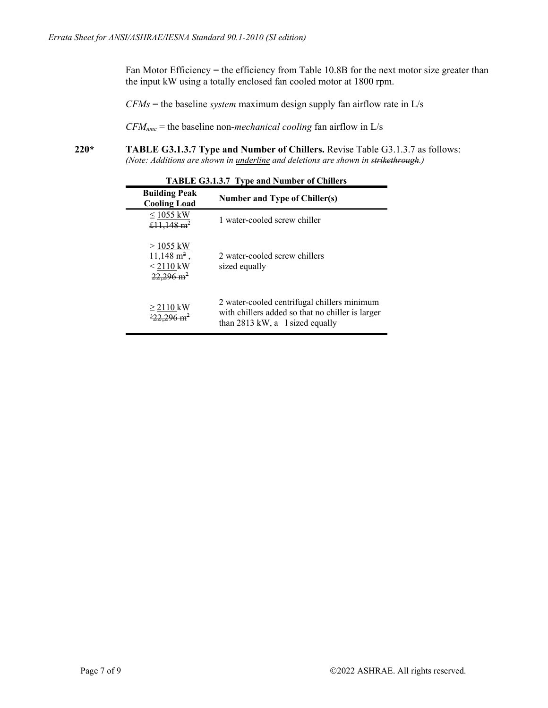Fan Motor Efficiency = the efficiency from Table 10.8B for the next motor size greater than the input kW using a totally enclosed fan cooled motor at 1800 rpm.

*CFMs* = the baseline *system* maximum design supply fan airflow rate in L/s

*CFMnmc* = the baseline non-*mechanical cooling* fan airflow in L/s

**220\* TABLE G3.1.3.7 Type and Number of Chillers.** Revise Table G3.1.3.7 as follows: *(Note: Additions are shown in underline and deletions are shown in strikethrough.)* 

| <b>Building Peak</b><br><b>Cooling Load</b>                                  | <b>Number and Type of Chiller(s)</b>                                                                                                 |
|------------------------------------------------------------------------------|--------------------------------------------------------------------------------------------------------------------------------------|
| $\leq 1055$ kW<br>£11,148 $m^2$                                              | 1 water-cooled screw chiller                                                                                                         |
| $> 1055$ kW<br>$11,148 \text{ m}^2$ ,<br>$< 2110$ kW<br>$22,296 \text{ m}^2$ | 2 water-cooled screw chillers<br>sized equally                                                                                       |
| $\geq$ 2110 kW<br>$\frac{322.296 \text{ m}^2}{ }$                            | 2 water-cooled centrifugal chillers minimum<br>with chillers added so that no chiller is larger<br>than $2813$ kW, a 1 sized equally |

**TABLE G3.1.3.7 Type and Number of Chillers**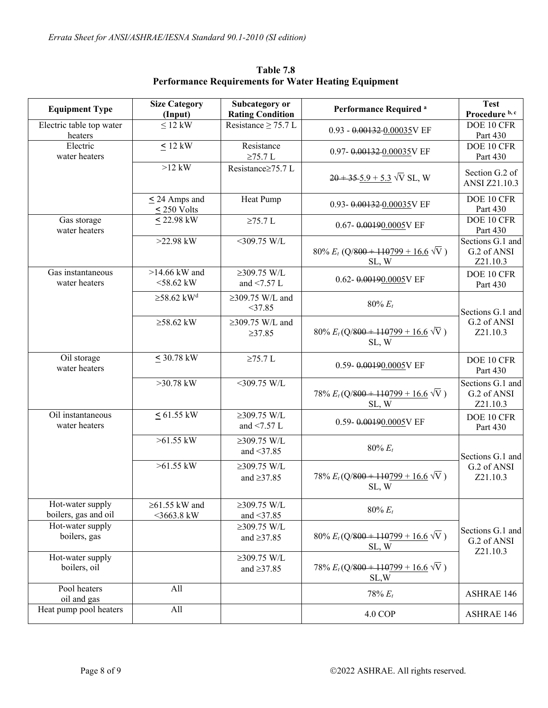| <b>Equipment Type</b>                    | <b>Size Category</b>                   | Subcategory or                        | <b>Performance Required a</b>                          | <b>Test</b>                                 |
|------------------------------------------|----------------------------------------|---------------------------------------|--------------------------------------------------------|---------------------------------------------|
|                                          | (Input)                                | <b>Rating Condition</b>               |                                                        | Procedure b, c                              |
| Electric table top water<br>heaters      | $\leq$ 12 kW                           | Resistance $\geq$ 75.7 L              | $0.93 - 0.00132 - 0.00035V$ EF                         | DOE 10 CFR<br>Part 430                      |
| Electric<br>water heaters                | $< 12$ kW                              | Resistance<br>$\geq$ 75.7 L           | 0.97-0.00132-0.00035V EF                               | DOE 10 CFR<br>Part 430                      |
|                                          | $>12$ kW                               | Resistance≥75.7 L                     | $20 + 35 - 5.9 + 5.3 \sqrt{V}$ SL, W                   | Section G.2 of<br>ANSI Z21.10.3             |
|                                          | $\leq$ 24 Amps and<br>$\leq$ 250 Volts | Heat Pump                             | 0.93-0.00132-0.00035V EF                               | DOE 10 CFR<br>Part 430                      |
| Gas storage<br>water heaters             | $< 22.98$ kW                           | $\geq$ 75.7 L                         | 0.67-0.00190.0005V EF                                  | DOE 10 CFR<br>Part 430                      |
|                                          | $>22.98$ kW                            | $<$ 309.75 W/L                        | 80% $E_t$ (Q/800 + 110799 + 16.6 $\sqrt{V}$ )<br>SL, W | Sections G.1 and<br>G.2 of ANSI<br>Z21.10.3 |
| Gas instantaneous<br>water heaters       | $>14.66$ kW and<br>$<$ 58.62 kW        | $≥309.75$ W/L<br>and $\leq$ 7.57 L    | 0.62-0.00190.0005V EF                                  | DOE 10 CFR<br>Part 430                      |
|                                          | $\geq$ 58.62 kW <sup>d</sup>           | $\geq$ 309.75 W/L and<br>$<$ 37.85    | $80\% E_t$                                             | Sections G.1 and                            |
|                                          | $\geq$ 58.62 kW                        | $\geq$ 309.75 W/L and<br>$\geq 37.85$ | $80\% E_t(Q/800 + 110799 + 16.6 \sqrt{V})$<br>SL, W    | G.2 of ANSI<br>Z21.10.3                     |
| Oil storage<br>water heaters             | $< 30.78$ kW                           | $\geq$ 75.7 L                         | 0.59-0.00190.0005V EF                                  | DOE 10 CFR<br>Part 430                      |
|                                          | $>30.78$ kW                            | $<$ 309.75 W/L                        | 78% $E_t(Q/800 + 110799 + 16.6 \sqrt{V})$<br>SL, W     | Sections G.1 and<br>G.2 of ANSI<br>Z21.10.3 |
| Oil instantaneous<br>water heaters       | $< 61.55$ kW                           | $≥309.75$ W/L<br>and $\leq$ 7.57 L    | 0.59-0.00190.0005V EF                                  | DOE 10 CFR<br>Part 430                      |
|                                          | $>61.55$ kW                            | $≥309.75$ W/L<br>and $\leq$ 37.85     | 80% $E_t$                                              | Sections G.1 and                            |
|                                          | $>61.55$ kW                            | $≥309.75$ W/L<br>and $\geq$ 37.85     | 78% $E_t(Q/800 + 110799 + 16.6 \sqrt{V})$<br>SL, W     | G.2 of ANSI<br>Z21.10.3                     |
| Hot-water supply<br>boilers, gas and oil | $\geq$ 61.55 kW and<br>$<$ 3663.8 kW   | $≥309.75$ W/L<br>and $\leq$ 37.85     | $80\% E_t$                                             |                                             |
| Hot-water supply<br>boilers, gas         |                                        | $≥309.75$ W/L<br>and $\geq$ 37.85     | $80\% E_t(Q/800 + 110799 + 16.6 \sqrt{V})$<br>SL, W    | Sections G.1 and<br>G.2 of ANSI             |
| Hot-water supply<br>boilers, oil         |                                        | $≥309.75$ W/L<br>and $\geq$ 37.85     | 78% $E_t(Q/800 + 110799 + 16.6 \sqrt{V})$<br>SL,W      | Z21.10.3                                    |
| Pool heaters<br>oil and gas              | All                                    |                                       | $78% E_t$                                              | <b>ASHRAE 146</b>                           |
| Heat pump pool heaters                   | All                                    |                                       | 4.0 COP                                                | <b>ASHRAE 146</b>                           |

**Table 7.8 Performance Requirements for Water Heating Equipment**